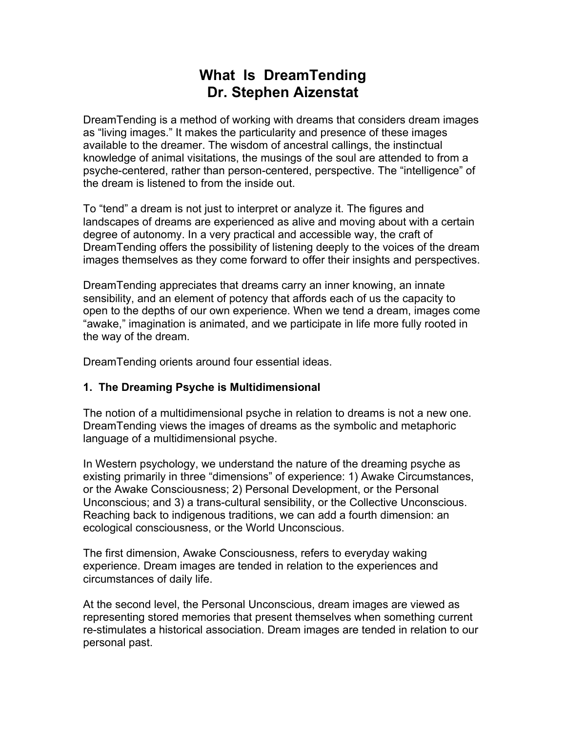# **What Is DreamTending Dr. Stephen Aizenstat**

DreamTending is a method of working with dreams that considers dream images as "living images." It makes the particularity and presence of these images available to the dreamer. The wisdom of ancestral callings, the instinctual knowledge of animal visitations, the musings of the soul are attended to from a psyche-centered, rather than person-centered, perspective. The "intelligence" of the dream is listened to from the inside out.

To "tend" a dream is not just to interpret or analyze it. The figures and landscapes of dreams are experienced as alive and moving about with a certain degree of autonomy. In a very practical and accessible way, the craft of DreamTending offers the possibility of listening deeply to the voices of the dream images themselves as they come forward to offer their insights and perspectives.

DreamTending appreciates that dreams carry an inner knowing, an innate sensibility, and an element of potency that affords each of us the capacity to open to the depths of our own experience. When we tend a dream, images come "awake," imagination is animated, and we participate in life more fully rooted in the way of the dream.

DreamTending orients around four essential ideas.

## **1. The Dreaming Psyche is Multidimensional**

The notion of a multidimensional psyche in relation to dreams is not a new one. DreamTending views the images of dreams as the symbolic and metaphoric language of a multidimensional psyche.

In Western psychology, we understand the nature of the dreaming psyche as existing primarily in three "dimensions" of experience: 1) Awake Circumstances, or the Awake Consciousness; 2) Personal Development, or the Personal Unconscious; and 3) a trans-cultural sensibility, or the Collective Unconscious. Reaching back to indigenous traditions, we can add a fourth dimension: an ecological consciousness, or the World Unconscious.

The first dimension, Awake Consciousness, refers to everyday waking experience. Dream images are tended in relation to the experiences and circumstances of daily life.

At the second level, the Personal Unconscious, dream images are viewed as representing stored memories that present themselves when something current re-stimulates a historical association. Dream images are tended in relation to our personal past.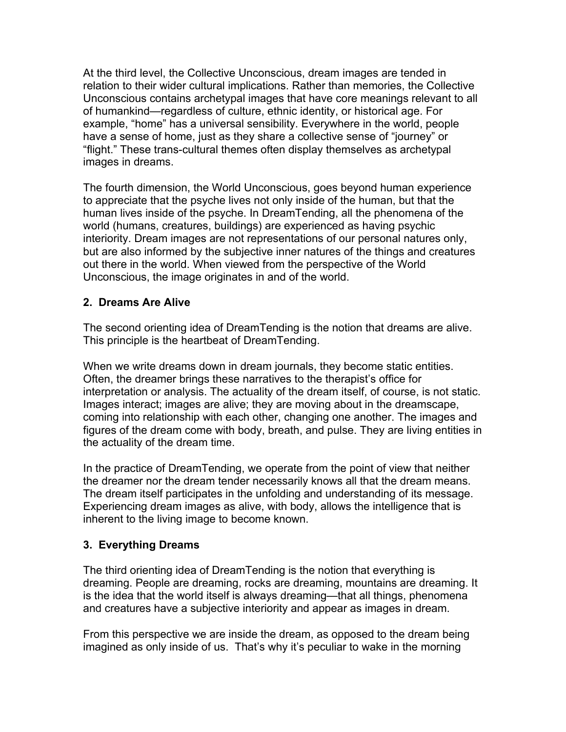At the third level, the Collective Unconscious, dream images are tended in relation to their wider cultural implications. Rather than memories, the Collective Unconscious contains archetypal images that have core meanings relevant to all of humankind—regardless of culture, ethnic identity, or historical age. For example, "home" has a universal sensibility. Everywhere in the world, people have a sense of home, just as they share a collective sense of "journey" or "flight." These trans-cultural themes often display themselves as archetypal images in dreams.

The fourth dimension, the World Unconscious, goes beyond human experience to appreciate that the psyche lives not only inside of the human, but that the human lives inside of the psyche. In DreamTending, all the phenomena of the world (humans, creatures, buildings) are experienced as having psychic interiority. Dream images are not representations of our personal natures only, but are also informed by the subjective inner natures of the things and creatures out there in the world. When viewed from the perspective of the World Unconscious, the image originates in and of the world.

## **2. Dreams Are Alive**

The second orienting idea of DreamTending is the notion that dreams are alive. This principle is the heartbeat of DreamTending.

When we write dreams down in dream journals, they become static entities. Often, the dreamer brings these narratives to the therapist's office for interpretation or analysis. The actuality of the dream itself, of course, is not static. Images interact; images are alive; they are moving about in the dreamscape, coming into relationship with each other, changing one another. The images and figures of the dream come with body, breath, and pulse. They are living entities in the actuality of the dream time.

In the practice of DreamTending, we operate from the point of view that neither the dreamer nor the dream tender necessarily knows all that the dream means. The dream itself participates in the unfolding and understanding of its message. Experiencing dream images as alive, with body, allows the intelligence that is inherent to the living image to become known.

## **3. Everything Dreams**

The third orienting idea of DreamTending is the notion that everything is dreaming. People are dreaming, rocks are dreaming, mountains are dreaming. It is the idea that the world itself is always dreaming—that all things, phenomena and creatures have a subjective interiority and appear as images in dream.

From this perspective we are inside the dream, as opposed to the dream being imagined as only inside of us. That's why it's peculiar to wake in the morning